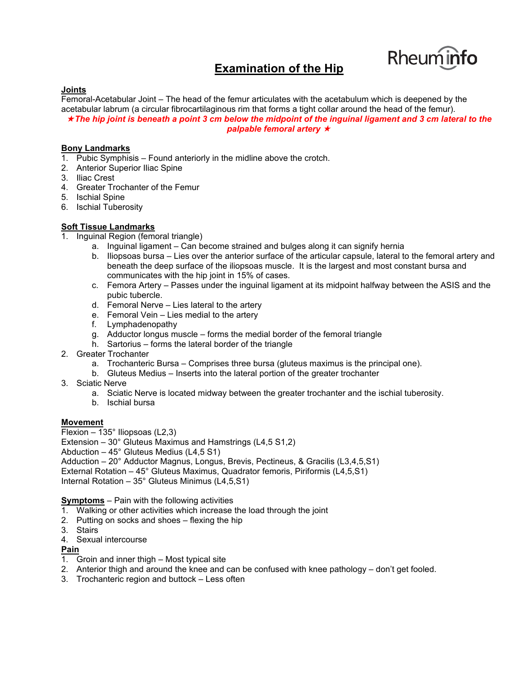# **Examination of the Hip**



#### **Joints**

Femoral-Acetabular Joint – The head of the femur articulates with the acetabulum which is deepened by the acetabular labrum (a circular fibrocartilaginous rim that forms a tight collar around the head of the femur). *The hip joint is beneath a point 3 cm below the midpoint of the inguinal ligament and 3 cm lateral to the palpable femoral artery* 

#### **Bony Landmarks**

- 1. Pubic Symphisis Found anteriorly in the midline above the crotch.
- 2. Anterior Superior Iliac Spine
- 3. Iliac Crest
- 4. Greater Trochanter of the Femur
- 5. Ischial Spine
- 6. Ischial Tuberosity

## **Soft Tissue Landmarks**

- 1. Inguinal Region (femoral triangle)
	- a. Inguinal ligament Can become strained and bulges along it can signify hernia
		- b. Iliopsoas bursa Lies over the anterior surface of the articular capsule, lateral to the femoral artery and beneath the deep surface of the iliopsoas muscle. It is the largest and most constant bursa and communicates with the hip joint in 15% of cases.
	- c. Femora Artery Passes under the inguinal ligament at its midpoint halfway between the ASIS and the pubic tubercle.
	- d. Femoral Nerve Lies lateral to the artery
	- e. Femoral Vein Lies medial to the artery
	- f. Lymphadenopathy
	- g. Adductor longus muscle forms the medial border of the femoral triangle
	- h. Sartorius forms the lateral border of the triangle
- 2. Greater Trochanter
	- a. Trochanteric Bursa Comprises three bursa (gluteus maximus is the principal one).
	- b. Gluteus Medius Inserts into the lateral portion of the greater trochanter
- 3. Sciatic Nerve
	- a. Sciatic Nerve is located midway between the greater trochanter and the ischial tuberosity.
	- b. Ischial bursa

#### **Movement**

- Flexion 135° Iliopsoas (L2,3)
- Extension 30° Gluteus Maximus and Hamstrings (L4,5 S1,2)
- Abduction 45° Gluteus Medius (L4,5 S1)
- Adduction 20° Adductor Magnus, Longus, Brevis, Pectineus, & Gracilis (L3,4,5,S1) External Rotation – 45° Gluteus Maximus, Quadrator femoris, Piriformis (L4,5,S1)
- Internal Rotation 35° Gluteus Minimus (L4,5,S1)

**Symptoms** – Pain with the following activities

- 1. Walking or other activities which increase the load through the joint
- 2. Putting on socks and shoes flexing the hip
- 3. Stairs
- 4. Sexual intercourse

#### **Pain**

- 1. Groin and inner thigh Most typical site
- 2. Anterior thigh and around the knee and can be confused with knee pathology don't get fooled.
- 3. Trochanteric region and buttock Less often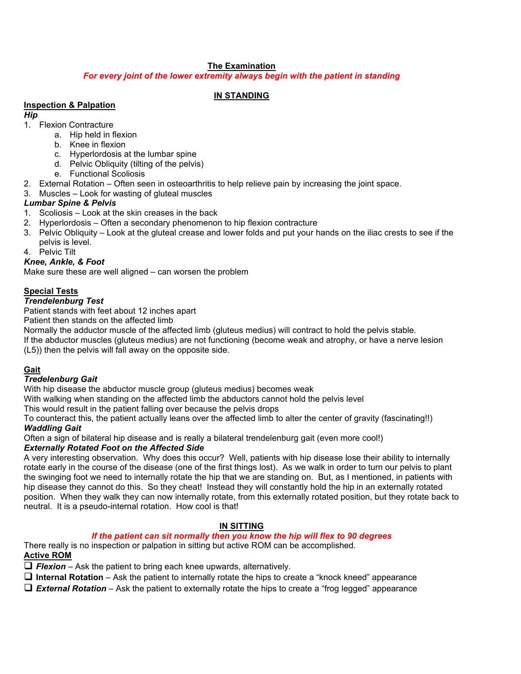# **The Examination**

*For every joint of the lower extremity always begin with the patient in standing*

# **IN STANDING**

## **Inspection & Palpation**

*Hip*

- 1. Flexion Contracture
	- a. Hip held in flexion
	- b. Knee in flexion
	- c. Hyperlordosis at the lumbar spine
	- d. Pelvic Obliquity (tilting of the pelvis)
	- e. Functional Scoliosis
- 2. External Rotation Often seen in osteoarthritis to help relieve pain by increasing the joint space.
- 3. Muscles Look for wasting of gluteal muscles

## *Lumbar Spine & Pelvis*

- 1. Scoliosis Look at the skin creases in the back
- 2. Hyperlordosis Often a secondary phenomenon to hip flexion contracture
- 3. Pelvic Obliquity Look at the gluteal crease and lower folds and put your hands on the iliac crests to see if the pelvis is level.

4. Pelvic Tilt

## *Knee, Ankle, & Foot*

Make sure these are well aligned – can worsen the problem

# **Special Tests**

## *Trendelenburg Test*

Patient stands with feet about 12 inches apart

Patient then stands on the affected limb

Normally the adductor muscle of the affected limb (gluteus medius) will contract to hold the pelvis stable.

If the abductor muscles (gluteus medius) are not functioning (become weak and atrophy, or have a nerve lesion (L5)) then the pelvis will fall away on the opposite side.

# **Gait**

## *Tredelenburg Gait*

With hip disease the abductor muscle group (gluteus medius) becomes weak

With walking when standing on the affected limb the abductors cannot hold the pelvis level

This would result in the patient falling over because the pelvis drops

To counteract this, the patient actually leans over the affected limb to alter the center of gravity (fascinating!!) *Waddling Gait*

Often a sign of bilateral hip disease and is really a bilateral trendelenburg gait (even more cool!)

## *Externally Rotated Foot on the Affected Side*

A very interesting observation. Why does this occur? Well, patients with hip disease lose their ability to internally rotate early in the course of the disease (one of the first things lost). As we walk in order to turn our pelvis to plant the swinging foot we need to internally rotate the hip that we are standing on. But, as I mentioned, in patients with hip disease they cannot do this. So they cheat! Instead they will constantly hold the hip in an externally rotated position. When they walk they can now internally rotate, from this externally rotated position, but they rotate back to neutral. It is a pseudo-internal rotation. How cool is that!

# **IN SITTING**

# *If the patient can sit normally then you know the hip will flex to 90 degrees*

There really is no inspection or palpation in sitting but active ROM can be accomplished. **Active ROM**

# $\Box$  Flexion – Ask the patient to bring each knee upwards, alternatively.

**Internal Rotation** – Ask the patient to internally rotate the hips to create a "knock kneed" appearance

*External Rotation* – Ask the patient to externally rotate the hips to create a "frog legged" appearance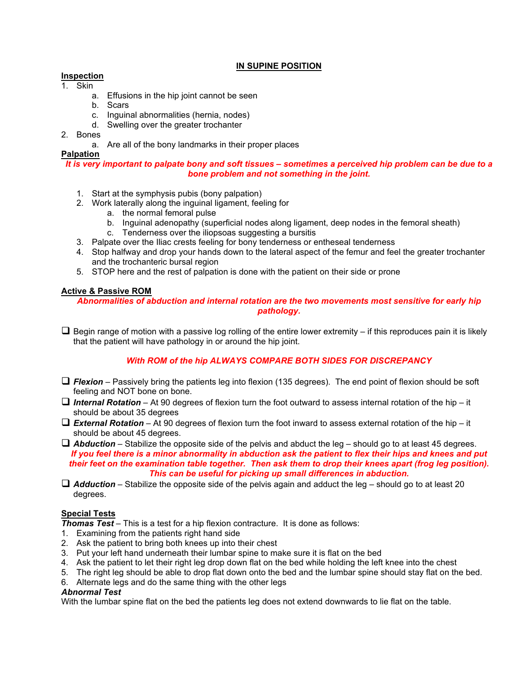## **IN SUPINE POSITION**

## **Inspection**

- 1. Skin
	- a. Effusions in the hip joint cannot be seen
	- b. Scars
	- c. Inguinal abnormalities (hernia, nodes)
	- d. Swelling over the greater trochanter
- 2. Bones
	- a. Are all of the bony landmarks in their proper places

#### **Palpation**

#### *It is very important to palpate bony and soft tissues – sometimes a perceived hip problem can be due to a bone problem and not something in the joint.*

- 1. Start at the symphysis pubis (bony palpation)
- 2. Work laterally along the inguinal ligament, feeling for
	- a. the normal femoral pulse
	- b. Inguinal adenopathy (superficial nodes along ligament, deep nodes in the femoral sheath)
		- c. Tenderness over the iliopsoas suggesting a bursitis
- 3. Palpate over the Iliac crests feeling for bony tenderness or entheseal tenderness
- 4. Stop halfway and drop your hands down to the lateral aspect of the femur and feel the greater trochanter and the trochanteric bursal region
- 5. STOP here and the rest of palpation is done with the patient on their side or prone

#### **Active & Passive ROM**

*Abnormalities of abduction and internal rotation are the two movements most sensitive for early hip pathology.*

 $\Box$  Begin range of motion with a passive log rolling of the entire lower extremity – if this reproduces pain it is likely that the patient will have pathology in or around the hip joint.

## *With ROM of the hip ALWAYS COMPARE BOTH SIDES FOR DISCREPANCY*

- □ *Flexion* Passively bring the patients leg into flexion (135 degrees). The end point of flexion should be soft feeling and NOT bone on bone.
- *Internal Rotation* At 90 degrees of flexion turn the foot outward to assess internal rotation of the hip it should be about 35 degrees
- *External Rotation* At 90 degrees of flexion turn the foot inward to assess external rotation of the hip it should be about 45 degrees.

 *Abduction* – Stabilize the opposite side of the pelvis and abduct the leg – should go to at least 45 degrees. *If you feel there is a minor abnormality in abduction ask the patient to flex their hips and knees and put their feet on the examination table together. Then ask them to drop their knees apart (frog leg position). This can be useful for picking up small differences in abduction.*

 *Adduction* – Stabilize the opposite side of the pelvis again and adduct the leg – should go to at least 20 degrees.

## **Special Tests**

*Thomas Test* – This is a test for a hip flexion contracture. It is done as follows:

- 1. Examining from the patients right hand side
- 2. Ask the patient to bring both knees up into their chest
- 3. Put your left hand underneath their lumbar spine to make sure it is flat on the bed
- 4. Ask the patient to let their right leg drop down flat on the bed while holding the left knee into the chest
- 5. The right leg should be able to drop flat down onto the bed and the lumbar spine should stay flat on the bed.
- 6. Alternate legs and do the same thing with the other legs

#### *Abnormal Test*

With the lumbar spine flat on the bed the patients leg does not extend downwards to lie flat on the table.